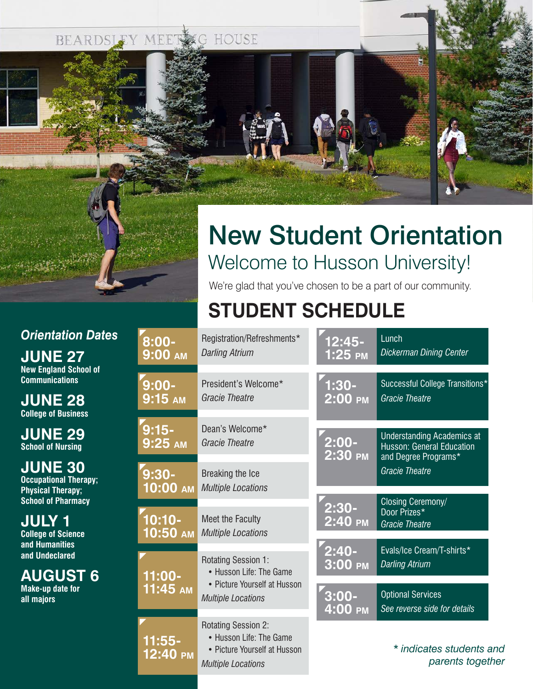BEARDSLEY MEET HOUSE



### *Orientation Dates*

**JUNE 27 New England School of Communications**

**JUNE 28 College of Business**

**JUNE 29 School of Nursing**

**JUNE 30 Occupational Therapy; Physical Therapy; School of Pharmacy**

**JULY 1 College of Science and Humanities and Undeclared**

**AUGUST 6 Make-up date for all majors**

# New Student Orientation Welcome to Husson University!

We're glad that you've chosen to be a part of our community.

## **STUDENT SCHEDULE**

| 8:00-                | Registration/Refreshments*                                                                                         | <u> 12:45-</u>      | Lunch                                                                                         |
|----------------------|--------------------------------------------------------------------------------------------------------------------|---------------------|-----------------------------------------------------------------------------------------------|
| 9:00 AM              | <b>Darling Atrium</b>                                                                                              | $1:25$ PM           | <b>Dickerman Dining Center</b>                                                                |
| $9:00-$              | President's Welcome*                                                                                               | 1:30-               | Successful College Transitions*                                                               |
| $9:15$ AM            | <b>Gracie Theatre</b>                                                                                              | $2:00$ PM           | <b>Gracie Theatre</b>                                                                         |
| 9:15-<br>9:25 am     | Dean's Welcome*<br><b>Gracie Theatre</b>                                                                           | $2:00 -$<br>2:30 PM | <b>Understanding Academics at</b><br><b>Husson: General Education</b><br>and Degree Programs* |
| 9:30-                | Breaking the Ice                                                                                                   |                     | <b>Gracie Theatre</b>                                                                         |
| $10:00$ AM           | <b>Multiple Locations</b>                                                                                          |                     | Closing Ceremony/                                                                             |
| $10:10 -$            | Meet the Faculty                                                                                                   | $2:30-$             | Door Prizes*                                                                                  |
| 10:50 AM             | <b>Multiple Locations</b>                                                                                          | $2:40$ PM           | <b>Gracie Theatre</b>                                                                         |
| 11:00-               | <b>Rotating Session 1:</b>                                                                                         | 2:40-               | Evals/Ice Cream/T-shirts*                                                                     |
|                      | • Husson Life: The Game                                                                                            | 3:00 PM             | <b>Darling Atrium</b>                                                                         |
| 11:45 AM             | • Picture Yourself at Husson                                                                                       | $3:00 -$            | <b>Optional Services</b>                                                                      |
|                      | <b>Multiple Locations</b>                                                                                          | 4:00 PM             | See reverse side for details                                                                  |
| $11:55-$<br>12:40 PM | <b>Rotating Session 2:</b><br>• Husson Life: The Game<br>• Picture Yourself at Husson<br><b>Multiple Locations</b> |                     | * indicates students and<br>parents together                                                  |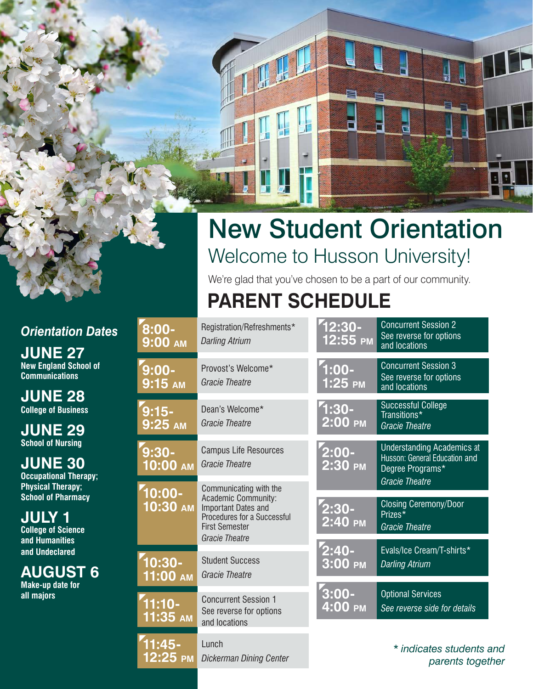# New Student Orientation Welcome to Husson University!

We're glad that you've chosen to be a part of our community.

## **PARENT SCHEDULE**

| 8:00-<br><b>9:00 AM</b> | Registration/Refreshments*<br><b>Darling Atrium</b>                                                                                                   | 12:30-<br>12:55 PM    | <b>Concurrent Session 2</b><br>See reverse for options<br>and locations                   |
|-------------------------|-------------------------------------------------------------------------------------------------------------------------------------------------------|-----------------------|-------------------------------------------------------------------------------------------|
| 9:00-<br>9:15 AM        | Provost's Welcome*<br><b>Gracie Theatre</b>                                                                                                           | $1:00 -$<br>$1:25$ PM | <b>Concurrent Session 3</b><br>See reverse for options<br>and locations                   |
| $9:15-$<br>9:25 am      | Dean's Welcome*<br><b>Gracie Theatre</b>                                                                                                              | $1:30-$<br>$2:00$ PM  | <b>Successful College</b><br>Transitions*<br><b>Gracie Theatre</b>                        |
| 9:30-<br>$10:00$ AM     | <b>Campus Life Resources</b><br><b>Gracie Theatre</b>                                                                                                 | $2:00 -$<br>$2:30$ PM | <b>Understanding Academics at</b><br>Husson: General Education and<br>Degree Programs*    |
| $10:00 -$<br>$10:30$ AM | Communicating with the<br>Academic Community:<br>Important Dates and<br>Procedures for a Successful<br><b>First Semester</b><br><b>Gracie Theatre</b> | $2:30-$<br>2:40 PM    | <b>Gracie Theatre</b><br><b>Closing Ceremony/Door</b><br>Prizes*<br><b>Gracie Theatre</b> |
| 10:30-<br>11:00 AM      | <b>Student Success</b><br><b>Gracie Theatre</b>                                                                                                       | $2:40-$<br>3:00 PM    | Evals/Ice Cream/T-shirts*<br><b>Darling Atrium</b>                                        |
| $11:10-$<br>11:35 AM    | <b>Concurrent Session 1</b><br>See reverse for options<br>and locations                                                                               | $3:00 -$<br>4:00 PM   | <b>Optional Services</b><br>See reverse side for details                                  |
| $11:45-$<br>12:25 PM    | Lunch<br><b>Dickerman Dining Center</b>                                                                                                               |                       | * indicates students and<br>parents together                                              |

*Orientation Dates*

**8:00-**

**JUNE 27 New England School of Communications**

**JUNE 28 College of Business**

**JUNE 29 School of Nursing**

**JUNE 30 Occupational Therapy; Physical Therapy; School of Pharmacy**

**JULY 1**

**College of Science and Humanities and Undeclared**

**AUGUST 6 Make-up date for all majors**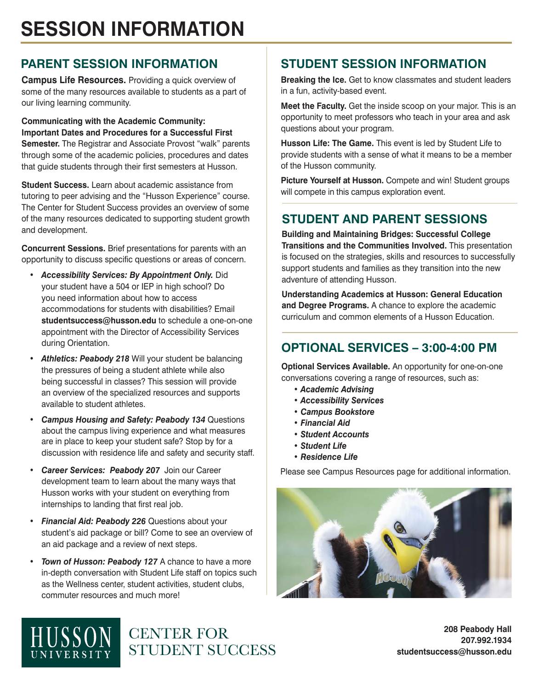## **SESSION INFORMATION**

### **PARENT SESSION INFORMATION**

**Campus Life Resources.** Providing a quick overview of some of the many resources available to students as a part of our living learning community.

**Communicating with the Academic Community: Important Dates and Procedures for a Successful First Semester.** The Registrar and Associate Provost "walk" parents through some of the academic policies, procedures and dates that guide students through their first semesters at Husson.

**Student Success.** Learn about academic assistance from tutoring to peer advising and the "Husson Experience" course. The Center for Student Success provides an overview of some of the many resources dedicated to supporting student growth and development.

**Concurrent Sessions.** Brief presentations for parents with an opportunity to discuss specific questions or areas of concern.

- *Accessibility Services: By Appointment Only.* Did your student have a 504 or IEP in high school? Do you need information about how to access accommodations for students with disabilities? Email **studentsuccess@husson.edu** to schedule a one-on-one appointment with the Director of Accessibility Services during Orientation.
- *• Athletics: Peabody 218* Will your student be balancing the pressures of being a student athlete while also being successful in classes? This session will provide an overview of the specialized resources and supports available to student athletes.
- *Campus Housing and Safety: Peabody 134* Questions about the campus living experience and what measures are in place to keep your student safe? Stop by for a discussion with residence life and safety and security staff.
- *• Career Services: Peabody 207* Join our Career development team to learn about the many ways that Husson works with your student on everything from internships to landing that first real job.
- *Financial Aid: Peabody 226* Questions about your student's aid package or bill? Come to see an overview of an aid package and a review of next steps.
- *Town of Husson: Peabody 127* A chance to have a more in-depth conversation with Student Life staff on topics such as the Wellness center, student activities, student clubs, commuter resources and much more!

CENTER FOR

STUDENT SUCCESS

### **STUDENT SESSION INFORMATION**

**Breaking the Ice.** Get to know classmates and student leaders in a fun, activity-based event.

**Meet the Faculty.** Get the inside scoop on your major. This is an opportunity to meet professors who teach in your area and ask questions about your program.

**Husson Life: The Game.** This event is led by Student Life to provide students with a sense of what it means to be a member of the Husson community.

**Picture Yourself at Husson.** Compete and win! Student groups will compete in this campus exploration event.

### **STUDENT AND PARENT SESSIONS**

**Building and Maintaining Bridges: Successful College Transitions and the Communities Involved.** This presentation is focused on the strategies, skills and resources to successfully support students and families as they transition into the new adventure of attending Husson.

**Understanding Academics at Husson: General Education and Degree Programs.** A chance to explore the academic curriculum and common elements of a Husson Education.

### **OPTIONAL SERVICES – 3:00-4:00 PM**

**Optional Services Available.** An opportunity for one-on-one conversations covering a range of resources, such as:

- *Academic Advising*
- *Accessibility Services*
- *Campus Bookstore*
- *Financial Aid*
- *Student Accounts*
- *Student Life*
- *Residence Life*

Please see Campus Resources page for additional information.



**208 Peabody Hall 207.992.1934 studentsuccess@husson.edu**

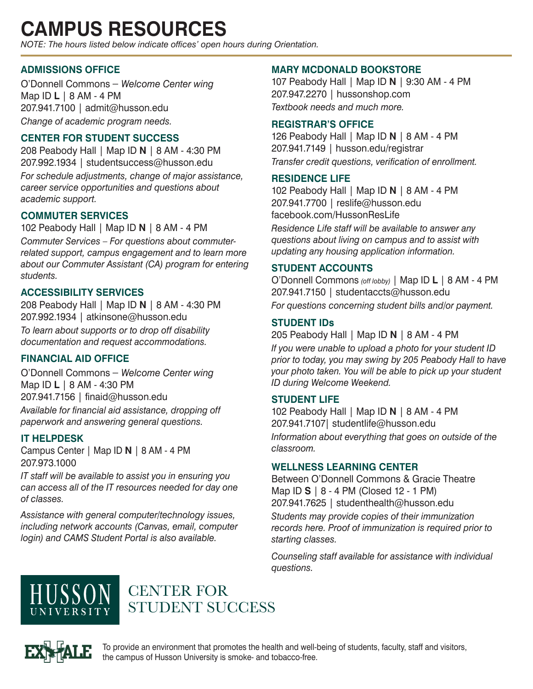## **CAMPUS RESOURCES**

*NOTE: The hours listed below indicate offices' open hours during Orientation.*

### **ADMISSIONS OFFICE**

O'Donnell Commons – *Welcome Center wing* Map ID **L** | 8 AM - 4 PM 207.941.7100 | admit@husson.edu *Change of academic program needs.* 

#### **CENTER FOR STUDENT SUCCESS**

208 Peabody Hall | Map ID **N** | 8 AM - 4:30 PM 207.992.1934 | studentsuccess@husson.edu

*For schedule adjustments, change of major assistance, career service opportunities and questions about academic support.*

### **COMMUTER SERVICES**

102 Peabody Hall | Map ID **N** | 8 AM - 4 PM

*Commuter Services – For questions about commuterrelated support, campus engagement and to learn more about our Commuter Assistant (CA) program for entering students.*

#### **ACCESSIBILITY SERVICES**

208 Peabody Hall | Map ID **N** | 8 AM - 4:30 PM 207.992.1934 | atkinsone@husson.edu *To learn about supports or to drop off disability documentation and request accommodations.*

### **FINANCIAL AID OFFICE**

O'Donnell Commons – *Welcome Center wing* Map ID **L** | 8 AM - 4:30 PM 207.941.7156 | finaid@husson.edu *Available for financial aid assistance, dropping off paperwork and answering general questions.*

#### **IT HELPDESK**

Campus Center | Map ID **N** | 8 AM - 4 PM 207.973.1000

*IT staff will be available to assist you in ensuring you can access all of the IT resources needed for day one of classes.*

*Assistance with general computer/technology issues, including network accounts (Canvas, email, computer login) and CAMS Student Portal is also available.*

#### **MARY MCDONALD BOOKSTORE**

107 Peabody Hall | Map ID **N** | 9:30 AM - 4 PM 207.947.2270 | hussonshop.com *Textbook needs and much more.*

#### **REGISTRAR'S OFFICE**

126 Peabody Hall | Map ID **N** | 8 AM - 4 PM 207.941.7149 | husson.edu/registrar *Transfer credit questions, verification of enrollment.*

#### **RESIDENCE LIFE**

102 Peabody Hall | Map ID **N** | 8 AM - 4 PM 207.941.7700 | reslife@husson.edu facebook.com/HussonResLife

*Residence Life staff will be available to answer any questions about living on campus and to assist with updating any housing application information.*

#### **STUDENT ACCOUNTS**

O'Donnell Commons *(off lobby)* | Map ID **L** | 8 AM - 4 PM 207.941.7150 | studentaccts@husson.edu *For questions concerning student bills and/or payment.*

#### **STUDENT IDs**

205 Peabody Hall | Map ID **N** | 8 AM - 4 PM

*If you were unable to upload a photo for your student ID prior to today, you may swing by 205 Peabody Hall to have your photo taken. You will be able to pick up your student ID during Welcome Weekend.*

#### **STUDENT LIFE**

102 Peabody Hall | Map ID **N** | 8 AM - 4 PM 207.941.7107| studentlife@husson.edu *Information about everything that goes on outside of the classroom.*

#### **WELLNESS LEARNING CENTER**

Between O'Donnell Commons & Gracie Theatre Map ID **S** | 8 - 4 PM (Closed 12 - 1 PM) 207.941.7625 | studenthealth@husson.edu

*Students may provide copies of their immunization records here. Proof of immunization is required prior to starting classes.*

*Counseling staff available for assistance with individual questions.* 



## CENTER FOR STUDENT SUCCESS



To provide an environment that promotes the health and well-being of students, faculty, staff and visitors, the campus of Husson University is smoke- and tobacco-free.